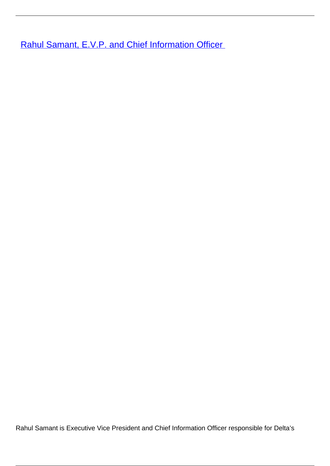**[Rahul Samant, E.V.P. and Chief Information Officer](/leader-bio-rahul-samant-evp-and-chief-information-officer)** 

Rahul Samant is Executive Vice President and Chief Information Officer responsible for Delta's